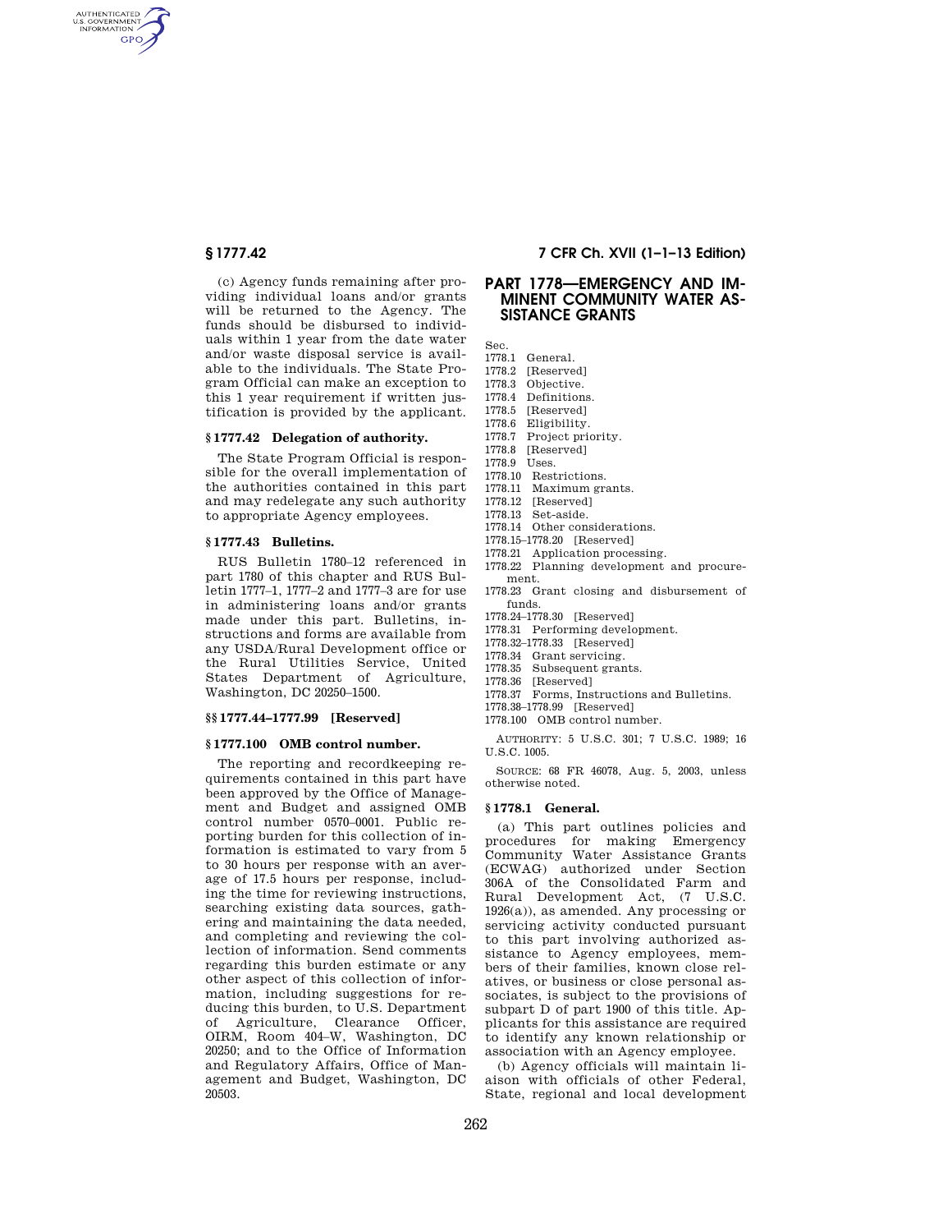AUTHENTICATED<br>U.S. GOVERNMENT<br>INFORMATION **GPO** 

> (c) Agency funds remaining after providing individual loans and/or grants will be returned to the Agency. The funds should be disbursed to individuals within 1 year from the date water and/or waste disposal service is available to the individuals. The State Program Official can make an exception to this 1 year requirement if written justification is provided by the applicant.

### **§ 1777.42 Delegation of authority.**

The State Program Official is responsible for the overall implementation of the authorities contained in this part and may redelegate any such authority to appropriate Agency employees.

## **§ 1777.43 Bulletins.**

RUS Bulletin 1780–12 referenced in part 1780 of this chapter and RUS Bulletin 1777–1, 1777–2 and 1777–3 are for use in administering loans and/or grants made under this part. Bulletins, instructions and forms are available from any USDA/Rural Development office or the Rural Utilities Service, United States Department of Agriculture, Washington, DC 20250–1500.

## **§§ 1777.44–1777.99 [Reserved]**

### **§ 1777.100 OMB control number.**

The reporting and recordkeeping requirements contained in this part have been approved by the Office of Management and Budget and assigned OMB control number 0570–0001. Public reporting burden for this collection of information is estimated to vary from 5 to 30 hours per response with an average of 17.5 hours per response, including the time for reviewing instructions, searching existing data sources, gathering and maintaining the data needed, and completing and reviewing the collection of information. Send comments regarding this burden estimate or any other aspect of this collection of information, including suggestions for reducing this burden, to U.S. Department of Agriculture, Clearance Officer, OIRM, Room 404–W, Washington, DC 20250; and to the Office of Information and Regulatory Affairs, Office of Management and Budget, Washington, DC 20503.

## **§ 1777.42 7 CFR Ch. XVII (1–1–13 Edition)**

# **PART 1778—EMERGENCY AND IM-MINENT COMMUNITY WATER AS-SISTANCE GRANTS**

Sec.

- 1778.1 General. 1778.2 [Reserved]
- 1778.3 Objective.
- 1778.4 Definitions.
- 1778.5 [Reserved]
- 1778.6 Eligibility.
- 1778.7 Project priority.
- 1778.8 [Reserved]
- 1778.9 Uses.
- 
- 1778.10 Restrictions.
- 1778.11 Maximum grants.
- 1778.12 [Reserved] 1778.13 Set-aside.
- 1778.14 Other considerations.
- 
- 1778.15–1778.20 [Reserved]
- 1778.21 Application processing.
- 1778.22 Planning development and procurement.
- 1778.23 Grant closing and disbursement of funds.
- 1778.24–1778.30 [Reserved]
- 1778.31 Performing development.
- 1778.32–1778.33 [Reserved]
- 1778.34 Grant servicing.
- 1778.35 Subsequent grants.
- 1778.36 [Reserved]
- 1778.37 Forms, Instructions and Bulletins.
- 1778.38–1778.99 [Reserved]
- 1778.100 OMB control number.

AUTHORITY: 5 U.S.C. 301; 7 U.S.C. 1989; 16 U.S.C. 1005.

SOURCE: 68 FR 46078, Aug. 5, 2003, unless otherwise noted.

#### **§ 1778.1 General.**

(a) This part outlines policies and procedures for making Emergency Community Water Assistance Grants (ECWAG) authorized under Section 306A of the Consolidated Farm and Rural Development Act, (7 U.S.C.  $1926(a)$ , as amended. Any processing or servicing activity conducted pursuant to this part involving authorized assistance to Agency employees, members of their families, known close relatives, or business or close personal associates, is subject to the provisions of subpart D of part 1900 of this title. Applicants for this assistance are required to identify any known relationship or association with an Agency employee.

(b) Agency officials will maintain liaison with officials of other Federal, State, regional and local development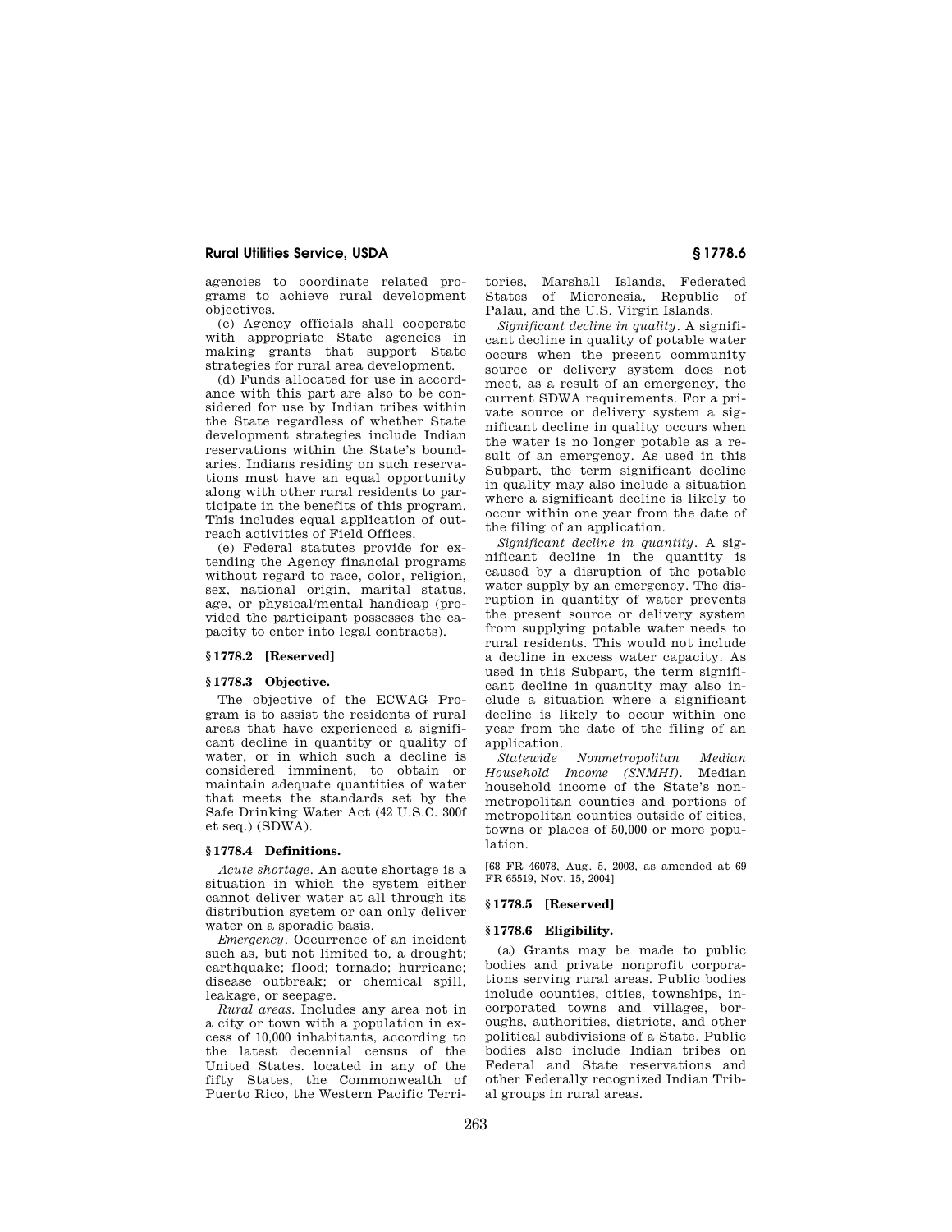## **Rural Utilities Service, USDA § 1778.6**

agencies to coordinate related programs to achieve rural development objectives.

(c) Agency officials shall cooperate with appropriate State agencies in making grants that support State strategies for rural area development.

(d) Funds allocated for use in accordance with this part are also to be considered for use by Indian tribes within the State regardless of whether State development strategies include Indian reservations within the State's boundaries. Indians residing on such reservations must have an equal opportunity along with other rural residents to participate in the benefits of this program. This includes equal application of outreach activities of Field Offices.

(e) Federal statutes provide for extending the Agency financial programs without regard to race, color, religion, sex, national origin, marital status, age, or physical/mental handicap (provided the participant possesses the capacity to enter into legal contracts).

## **§ 1778.2 [Reserved]**

## **§ 1778.3 Objective.**

The objective of the ECWAG Program is to assist the residents of rural areas that have experienced a significant decline in quantity or quality of water, or in which such a decline is considered imminent, to obtain or maintain adequate quantities of water that meets the standards set by the Safe Drinking Water Act (42 U.S.C. 300f et seq.) (SDWA).

## **§ 1778.4 Definitions.**

*Acute shortage.* An acute shortage is a situation in which the system either cannot deliver water at all through its distribution system or can only deliver water on a sporadic basis.

*Emergency.* Occurrence of an incident such as, but not limited to, a drought; earthquake; flood; tornado; hurricane; disease outbreak; or chemical spill, leakage, or seepage.

*Rural areas.* Includes any area not in a city or town with a population in excess of 10,000 inhabitants, according to the latest decennial census of the United States. located in any of the fifty States, the Commonwealth of Puerto Rico, the Western Pacific Territories, Marshall Islands, Federated States of Micronesia, Republic of Palau, and the U.S. Virgin Islands.

*Significant decline in quality.* A significant decline in quality of potable water occurs when the present community source or delivery system does not meet, as a result of an emergency, the current SDWA requirements. For a private source or delivery system a significant decline in quality occurs when the water is no longer potable as a result of an emergency. As used in this Subpart, the term significant decline in quality may also include a situation where a significant decline is likely to occur within one year from the date of the filing of an application.

*Significant decline in quantity.* A significant decline in the quantity is caused by a disruption of the potable water supply by an emergency. The disruption in quantity of water prevents the present source or delivery system from supplying potable water needs to rural residents. This would not include a decline in excess water capacity. As used in this Subpart, the term significant decline in quantity may also include a situation where a significant decline is likely to occur within one year from the date of the filing of an application.

*Statewide Nonmetropolitan Median Household Income (SNMHI).* Median household income of the State's nonmetropolitan counties and portions of metropolitan counties outside of cities, towns or places of 50,000 or more population.

[68 FR 46078, Aug. 5, 2003, as amended at 69 FR 65519, Nov. 15, 2004]

#### **§ 1778.5 [Reserved]**

### **§ 1778.6 Eligibility.**

(a) Grants may be made to public bodies and private nonprofit corporations serving rural areas. Public bodies include counties, cities, townships, incorporated towns and villages, boroughs, authorities, districts, and other political subdivisions of a State. Public bodies also include Indian tribes on Federal and State reservations and other Federally recognized Indian Tribal groups in rural areas.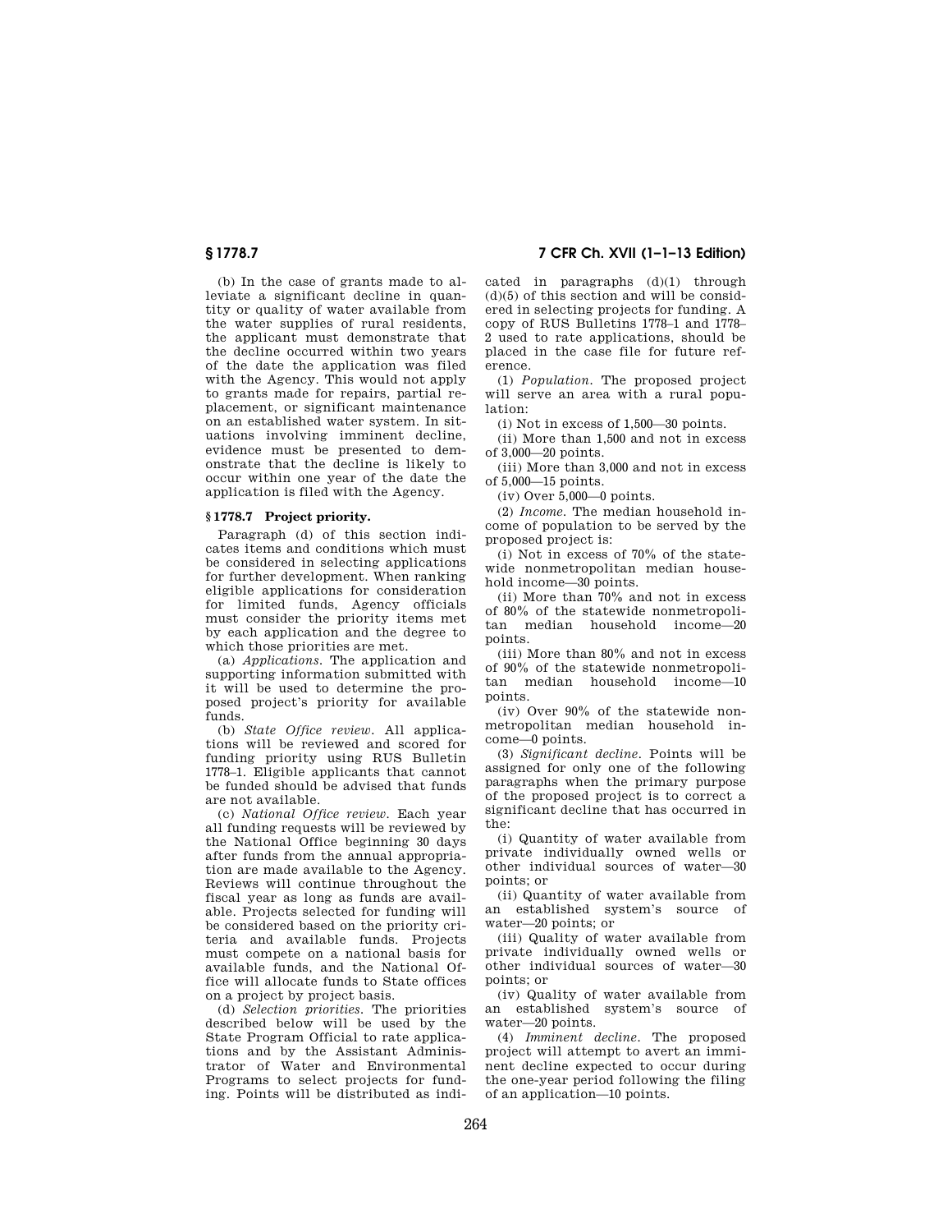**§ 1778.7 7 CFR Ch. XVII (1–1–13 Edition)** 

(b) In the case of grants made to alleviate a significant decline in quantity or quality of water available from the water supplies of rural residents, the applicant must demonstrate that the decline occurred within two years of the date the application was filed with the Agency. This would not apply to grants made for repairs, partial replacement, or significant maintenance on an established water system. In situations involving imminent decline, evidence must be presented to demonstrate that the decline is likely to occur within one year of the date the application is filed with the Agency.

## **§ 1778.7 Project priority.**

Paragraph (d) of this section indicates items and conditions which must be considered in selecting applications for further development. When ranking eligible applications for consideration for limited funds, Agency officials must consider the priority items met by each application and the degree to which those priorities are met.

(a) *Applications.* The application and supporting information submitted with it will be used to determine the proposed project's priority for available funds.

(b) *State Office review.* All applications will be reviewed and scored for funding priority using RUS Bulletin 1778–1. Eligible applicants that cannot be funded should be advised that funds are not available.

(c) *National Office review.* Each year all funding requests will be reviewed by the National Office beginning 30 days after funds from the annual appropriation are made available to the Agency. Reviews will continue throughout the fiscal year as long as funds are available. Projects selected for funding will be considered based on the priority criteria and available funds. Projects must compete on a national basis for available funds, and the National Office will allocate funds to State offices on a project by project basis.

(d) *Selection priorities.* The priorities described below will be used by the State Program Official to rate applications and by the Assistant Administrator of Water and Environmental Programs to select projects for funding. Points will be distributed as indicated in paragraphs (d)(1) through  $(d)(5)$  of this section and will be considered in selecting projects for funding. A copy of RUS Bulletins 1778–1 and 1778– 2 used to rate applications, should be placed in the case file for future reference.

(1) *Population.* The proposed project will serve an area with a rural population:

(i) Not in excess of 1,500—30 points.

(ii) More than 1,500 and not in excess of 3,000—20 points.

(iii) More than 3,000 and not in excess of 5,000—15 points.

(iv) Over 5,000—0 points.

(2) *Income.* The median household income of population to be served by the proposed project is:

(i) Not in excess of 70% of the statewide nonmetropolitan median household income—30 points.

(ii) More than 70% and not in excess of 80% of the statewide nonmetropolitan median household income—20 points.

(iii) More than 80% and not in excess of 90% of the statewide nonmetropolitan median household income—10 points.

(iv) Over 90% of the statewide nonmetropolitan median household income—0 points.

(3) *Significant decline.* Points will be assigned for only one of the following paragraphs when the primary purpose of the proposed project is to correct a significant decline that has occurred in the:

(i) Quantity of water available from private individually owned wells or other individual sources of water—30 points; or

(ii) Quantity of water available from an established system's source of water—20 points; or

(iii) Quality of water available from private individually owned wells or other individual sources of water—30 points; or

(iv) Quality of water available from an established system's source of water—20 points.

(4) *Imminent decline.* The proposed project will attempt to avert an imminent decline expected to occur during the one-year period following the filing of an application—10 points.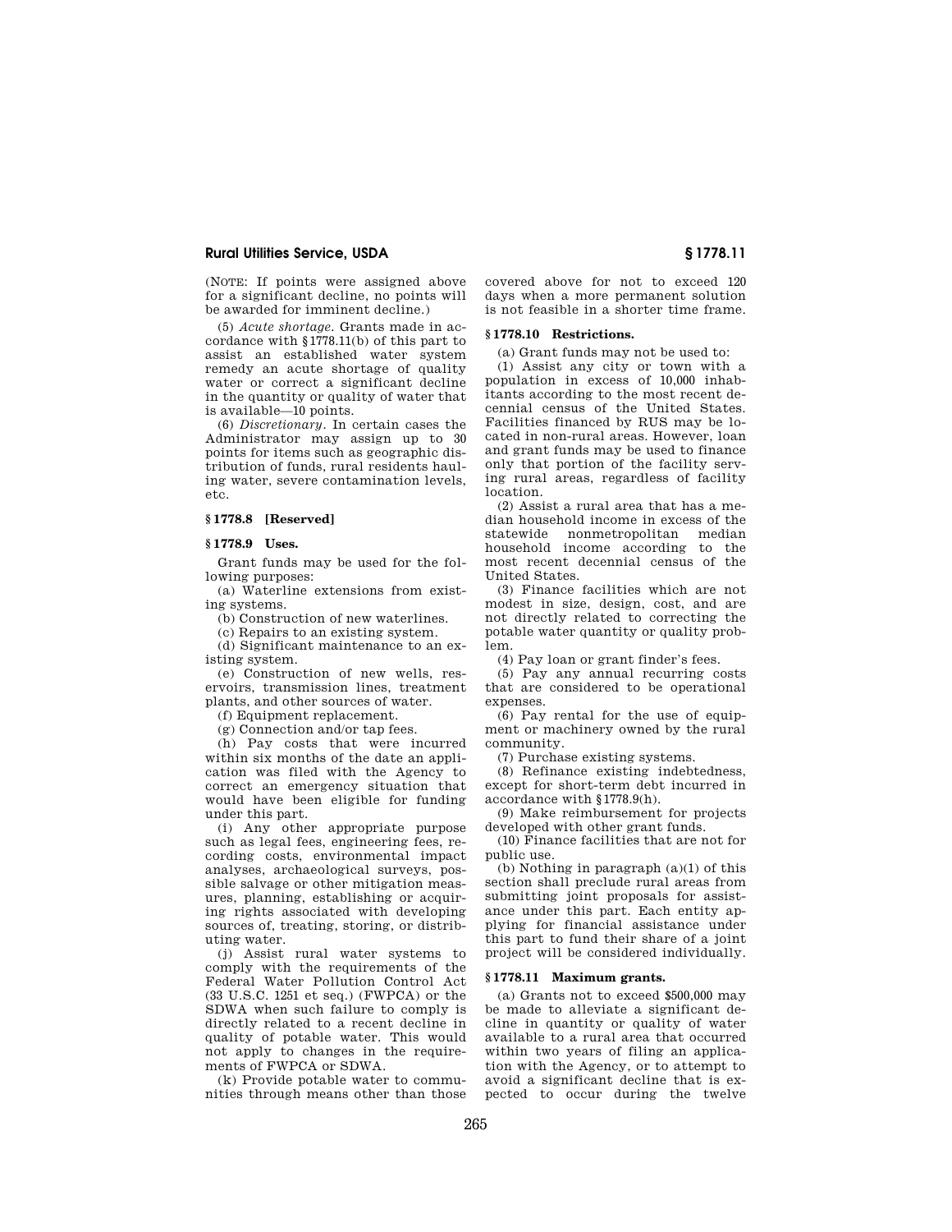## **Rural Utilities Service, USDA § 1778.11**

(NOTE: If points were assigned above for a significant decline, no points will be awarded for imminent decline.)

(5) *Acute shortage.* Grants made in accordance with §1778.11(b) of this part to assist an established water system remedy an acute shortage of quality water or correct a significant decline in the quantity or quality of water that is available—10 points.

(6) *Discretionary.* In certain cases the Administrator may assign up to 30 points for items such as geographic distribution of funds, rural residents hauling water, severe contamination levels, etc.

# **§ 1778.8 [Reserved]**

#### **§ 1778.9 Uses.**

Grant funds may be used for the following purposes:

(a) Waterline extensions from existing systems.

(b) Construction of new waterlines.

(c) Repairs to an existing system.

(d) Significant maintenance to an existing system.

(e) Construction of new wells, reservoirs, transmission lines, treatment plants, and other sources of water.

(f) Equipment replacement.

(g) Connection and/or tap fees.

(h) Pay costs that were incurred within six months of the date an application was filed with the Agency to correct an emergency situation that would have been eligible for funding under this part.

(i) Any other appropriate purpose such as legal fees, engineering fees, recording costs, environmental impact analyses, archaeological surveys, possible salvage or other mitigation measures, planning, establishing or acquiring rights associated with developing sources of, treating, storing, or distributing water.

(j) Assist rural water systems to comply with the requirements of the Federal Water Pollution Control Act (33 U.S.C. 1251 et seq.) (FWPCA) or the SDWA when such failure to comply is directly related to a recent decline in quality of potable water. This would not apply to changes in the requirements of FWPCA or SDWA.

(k) Provide potable water to communities through means other than those covered above for not to exceed 120 days when a more permanent solution is not feasible in a shorter time frame.

## **§ 1778.10 Restrictions.**

(a) Grant funds may not be used to:

(1) Assist any city or town with a population in excess of 10,000 inhabitants according to the most recent decennial census of the United States. Facilities financed by RUS may be located in non-rural areas. However, loan and grant funds may be used to finance only that portion of the facility serving rural areas, regardless of facility location.

(2) Assist a rural area that has a median household income in excess of the statewide nonmetropolitan median household income according to the most recent decennial census of the United States.

(3) Finance facilities which are not modest in size, design, cost, and are not directly related to correcting the potable water quantity or quality problem.

(4) Pay loan or grant finder's fees.

(5) Pay any annual recurring costs that are considered to be operational expenses.

(6) Pay rental for the use of equipment or machinery owned by the rural community.

(7) Purchase existing systems.

(8) Refinance existing indebtedness, except for short-term debt incurred in accordance with §1778.9(h).

(9) Make reimbursement for projects developed with other grant funds.

(10) Finance facilities that are not for public use.

(b) Nothing in paragraph (a)(1) of this section shall preclude rural areas from submitting joint proposals for assistance under this part. Each entity applying for financial assistance under this part to fund their share of a joint project will be considered individually.

## **§ 1778.11 Maximum grants.**

(a) Grants not to exceed \$500,000 may be made to alleviate a significant decline in quantity or quality of water available to a rural area that occurred within two years of filing an application with the Agency, or to attempt to avoid a significant decline that is expected to occur during the twelve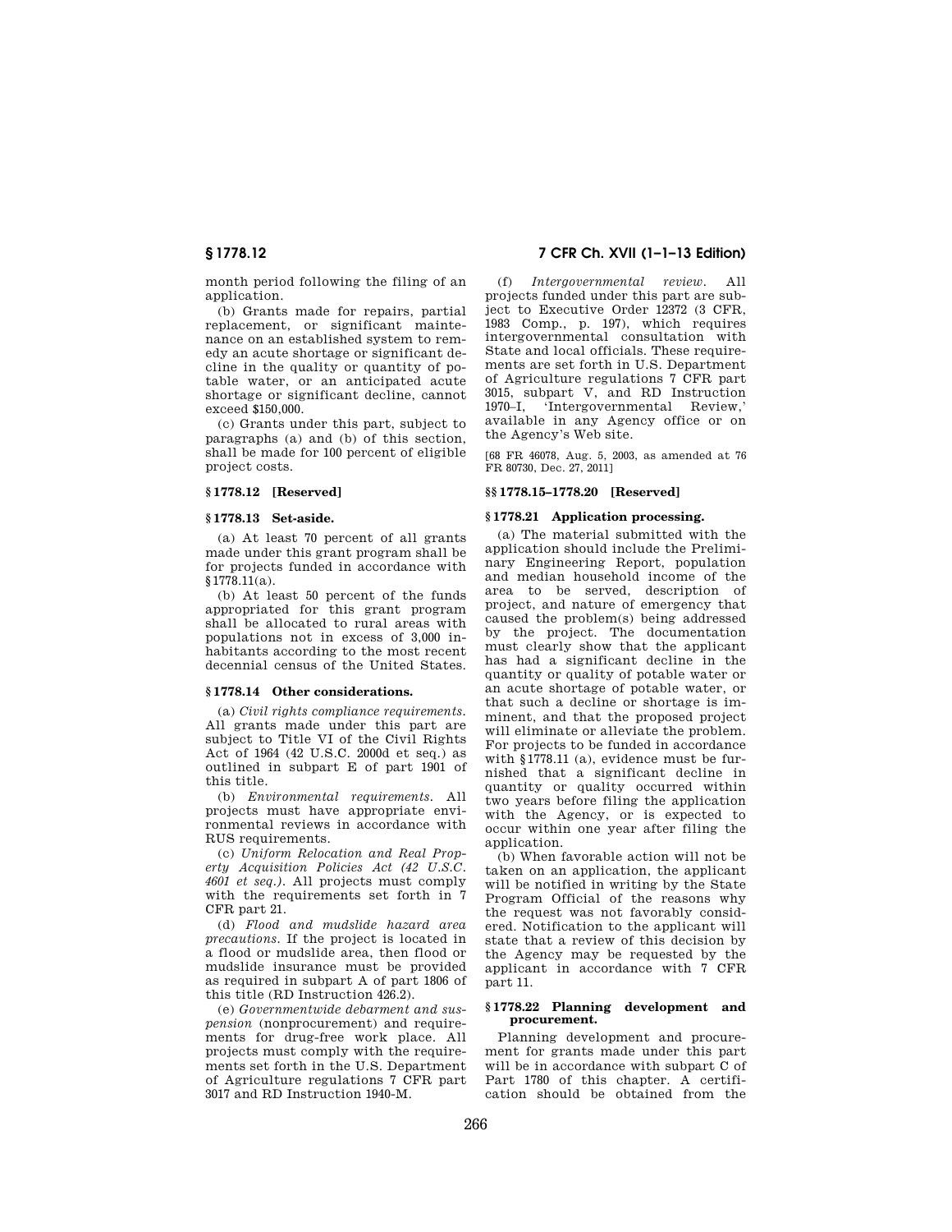month period following the filing of an application.

(b) Grants made for repairs, partial replacement, or significant maintenance on an established system to remedy an acute shortage or significant decline in the quality or quantity of potable water, or an anticipated acute shortage or significant decline, cannot exceed \$150,000.

(c) Grants under this part, subject to paragraphs (a) and (b) of this section, shall be made for 100 percent of eligible project costs.

## **§ 1778.12 [Reserved]**

#### **§ 1778.13 Set-aside.**

(a) At least 70 percent of all grants made under this grant program shall be for projects funded in accordance with §1778.11(a).

(b) At least 50 percent of the funds appropriated for this grant program shall be allocated to rural areas with populations not in excess of 3,000 inhabitants according to the most recent decennial census of the United States.

#### **§ 1778.14 Other considerations.**

(a) *Civil rights compliance requirements.*  All grants made under this part are subject to Title VI of the Civil Rights Act of 1964 (42 U.S.C. 2000d et seq.) as outlined in subpart E of part 1901 of this title.

(b) *Environmental requirements.* All projects must have appropriate environmental reviews in accordance with RUS requirements.

(c) *Uniform Relocation and Real Property Acquisition Policies Act (42 U.S.C. 4601 et seq.).* All projects must comply with the requirements set forth in 7 CFR part 21.

(d) *Flood and mudslide hazard area precautions.* If the project is located in a flood or mudslide area, then flood or mudslide insurance must be provided as required in subpart A of part 1806 of this title (RD Instruction 426.2).

(e) *Governmentwide debarment and suspension* (nonprocurement) and requirements for drug-free work place. All projects must comply with the requirements set forth in the U.S. Department of Agriculture regulations 7 CFR part 3017 and RD Instruction 1940-M.

## **§ 1778.12 7 CFR Ch. XVII (1–1–13 Edition)**

(f) *Intergovernmental review.* All projects funded under this part are subject to Executive Order 12372 (3 CFR, 1983 Comp., p. 197), which requires intergovernmental consultation with State and local officials. These requirements are set forth in U.S. Department of Agriculture regulations 7 CFR part 3015, subpart V, and RD Instruction 1970–I, 'Intergovernmental Review,' available in any Agency office or on the Agency's Web site.

[68 FR 46078, Aug. 5, 2003, as amended at 76 FR 80730, Dec. 27, 2011]

## **§§ 1778.15–1778.20 [Reserved]**

#### **§ 1778.21 Application processing.**

(a) The material submitted with the application should include the Preliminary Engineering Report, population and median household income of the area to be served, description of project, and nature of emergency that caused the problem(s) being addressed by the project. The documentation must clearly show that the applicant has had a significant decline in the quantity or quality of potable water or an acute shortage of potable water, or that such a decline or shortage is imminent, and that the proposed project will eliminate or alleviate the problem. For projects to be funded in accordance with §1778.11 (a), evidence must be furnished that a significant decline in quantity or quality occurred within two years before filing the application with the Agency, or is expected to occur within one year after filing the application.

(b) When favorable action will not be taken on an application, the applicant will be notified in writing by the State Program Official of the reasons why the request was not favorably considered. Notification to the applicant will state that a review of this decision by the Agency may be requested by the applicant in accordance with 7 CFR part 11.

#### **§ 1778.22 Planning development and procurement.**

Planning development and procurement for grants made under this part will be in accordance with subpart C of Part 1780 of this chapter. A certification should be obtained from the